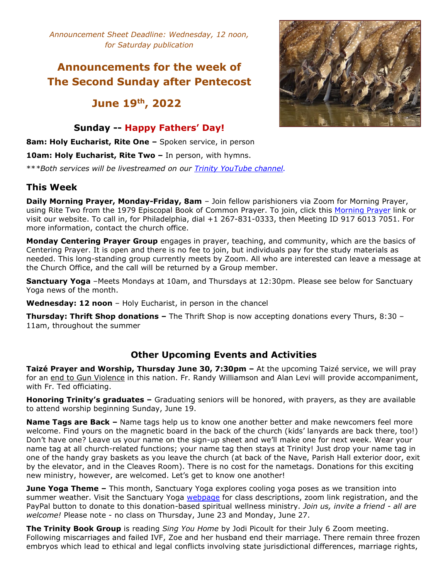*Announcement Sheet Deadline: Wednesday, 12 noon, for Saturday publication*

# **Announcements for the week of The Second Sunday after Pentecost**

# **June 19 th , 2022**

### **Sunday -- Happy Fathers' Day!**

**8am: Holy Eucharist, Rite One –** Spoken service, in person

**10am: Holy Eucharist, Rite Two –** In person, with hymns.

\*\**\*Both services will be livestreamed on our Trinity [YouTube](https://www.youtube.com/channel/UCRIVWlpuu9UprbAGDkhtLLA) channel.*

### **This Week**

**Daily Morning Prayer, Monday-Friday, 8am** – Join fellow parishioners via Zoom for Morning Prayer, using Rite Two from the 1979 Episcopal Book of Common Prayer. To join, click this [Morning](https://zoom.us/j/91760137051) Prayer link or visit our website. To call in, for Philadelphia, dial +1 267-831-0333, then Meeting ID 917 6013 7051. For more information, contact the church office.

**Monday Centering Prayer Group** engages in prayer, teaching, and community, which are the basics of Centering Prayer. It is open and there is no fee to join, but individuals pay for the study materials as needed. This long-standing group currently meets by Zoom. All who are interested can leave a message at the Church Office, and the call will be returned by a Group member.

**Sanctuary Yoga** –Meets Mondays at 10am, and Thursdays at 12:30pm. Please see below for Sanctuary Yoga news of the month.

**Wednesday: 12 noon** – Holy Eucharist, in person in the chancel

**Thursday: Thrift Shop donations –** The Thrift Shop is now accepting donations every Thurs, 8:30 – 11am, throughout the summer

### **Other Upcoming Events and Activities**

**Taizé Prayer and Worship, Thursday June 30, 7:30pm –** At the upcoming Taizé service, we will pray for an end to Gun Violence in this nation. Fr. Randy Williamson and Alan Levi will provide accompaniment, with Fr. Ted officiating.

**Honoring Trinity's graduates –** Graduating seniors will be honored, with prayers, as they are available to attend worship beginning Sunday, June 19.

**Name Tags are Back –** Name tags help us to know one another better and make newcomers feel more welcome. Find yours on the magnetic board in the back of the church (kids' lanyards are back there, too!) Don't have one? Leave us your name on the sign-up sheet and we'll make one for next week. Wear your name tag at all church-related functions; your name tag then stays at Trinity! Just drop your name tag in one of the handy gray baskets as you leave the church (at back of the Nave, Parish Hall exterior door, exit by the elevator, and in the Cleaves Room). There is no cost for the nametags. Donations for this exciting new ministry, however, are welcomed. Let's get to know one another!

**June Yoga Theme –** This month, Sanctuary Yoga explores cooling yoga poses as we transition into summer weather. Visit the Sanctuary Yoga [webpage](https://www.trinity-swarthmore.org/sanctuary-yoga.html) for class descriptions, zoom link registration, and the PayPal button to donate to this donation-based spiritual wellness ministry. *Join us, invite a friend - all are welcome!* Please note - no class on Thursday, June 23 and Monday, June 27.

**The Trinity Book Group** is reading *Sing You Home* by Jodi Picoult for their July 6 Zoom meeting. Following miscarriages and failed IVF, Zoe and her husband end their marriage. There remain three frozen embryos which lead to ethical and legal conflicts involving state jurisdictional differences, marriage rights,

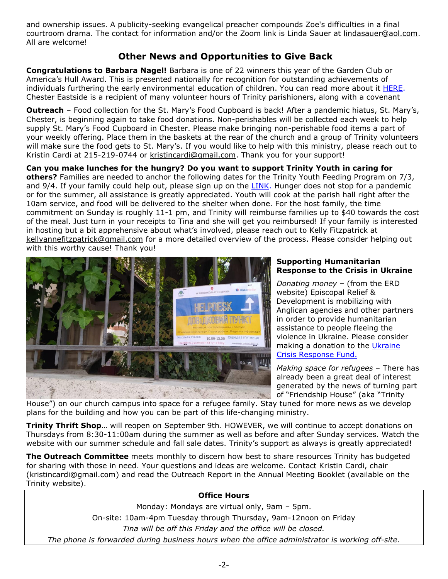and ownership issues. A publicity-seeking evangelical preacher compounds Zoe's difficulties in a final courtroom drama. The contact for information and/or the Zoom link is Linda Sauer at [lindasauer@aol.com.](mailto:lindasauer@aol.com) All are welcome!

## **Other News and Opportunities to Give Back**

**Congratulations to Barbara Nagel!** Barbara is one of 22 winners this year of the Garden Club or America's Hull Award. This is presented nationally for recognition for outstanding achievements of individuals furthering the early environmental education of children. You can read more about it [HERE.](https://www.gcamerica.org/gca-awards-Hull-Award) Chester Eastside is a recipient of many volunteer hours of Trinity parishioners, along with a covenant

**Outreach** – Food collection for the St. Mary's Food Cupboard is back! After a pandemic hiatus, St. Mary's, Chester, is beginning again to take food donations. Non-perishables will be collected each week to help supply St. Mary's Food Cupboard in Chester. Please make bringing non-perishable food items a part of your weekly offering. Place them in the baskets at the rear of the church and a group of Trinity volunteers will make sure the food gets to St. Mary's. If you would like to help with this ministry, please reach out to Kristin Cardi at 215-219-0744 or [kristincardi@gmail.com.](mailto:kristincardi@gmail.com) Thank you for your support!

### **Can you make lunches for the hungry? Do you want to support Trinity Youth in caring for**

**others?** Families are needed to anchor the following dates for the Trinity Youth Feeding Program on 7/3, and 9/4. If your family could help out, please sign up on the [LINK.](https://www.signupgenius.com/go/60b0a4ea4ac2fab9-trinity) Hunger does not stop for a pandemic or for the summer, all assistance is greatly appreciated. Youth will cook at the parish hall right after the 10am service, and food will be delivered to the shelter when done. For the host family, the time commitment on Sunday is roughly 11-1 pm, and Trinity will reimburse families up to \$40 towards the cost of the meal. Just turn in your receipts to Tina and she will get you reimbursed! If your family is interested in hosting but a bit apprehensive about what's involved, please reach out to Kelly Fitzpatrick at [kellyannefitzpatrick@gmail.com](mailto:kellyannefitzpatrick@gmail.com) for a more detailed overview of the process. Please consider helping out with this worthy cause! Thank you!



#### **Supporting Humanitarian Response to the Crisis in Ukraine**

*Donating money –* (from the ERD website) Episcopal Relief & Development is mobilizing with Anglican agencies and other partners in order to provide humanitarian assistance to people fleeing the violence in Ukraine. Please consider making a donation to the [Ukraine](https://support.episcopalrelief.org/ukraineresponse?ID=220301DP0DS0100&utm_medium=web&utm_campaign=fy22ukraine&utm_source=220301DP0DS0100) Crisis [Response](https://support.episcopalrelief.org/ukraineresponse?ID=220301DP0DS0100&utm_medium=web&utm_campaign=fy22ukraine&utm_source=220301DP0DS0100) Fund.

*Making space for refugees* – There has already been a great deal of interest generated by the news of turning part of "Friendship House" (aka "Trinity

House") on our church campus into space for a refugee family. Stay tuned for more news as we develop plans for the building and how you can be part of this life-changing ministry.

**Trinity Thrift Shop**… will reopen on September 9th. HOWEVER, we will continue to accept donations on Thursdays from 8:30-11:00am during the summer as well as before and after Sunday services. Watch the website with our summer schedule and fall sale dates. Trinity's support as always is greatly appreciated!

**The Outreach Committee** meets monthly to discern how best to share resources Trinity has budgeted for sharing with those in need. Your questions and ideas are welcome. Contact Kristin Cardi, chair [\(kristincardi@gmail.com\)](mailto:kristincardi@gmail.com) and read the Outreach Report in the Annual Meeting Booklet (available on the Trinity website).

### **Office Hours**

Monday: Mondays are virtual only, 9am – 5pm. On-site: 10am-4pm Tuesday through Thursday, 9am-12noon on Friday *Tina will be off this Friday and the office will be closed. The phone is forwarded during business hours when the office administrator is working off-site.*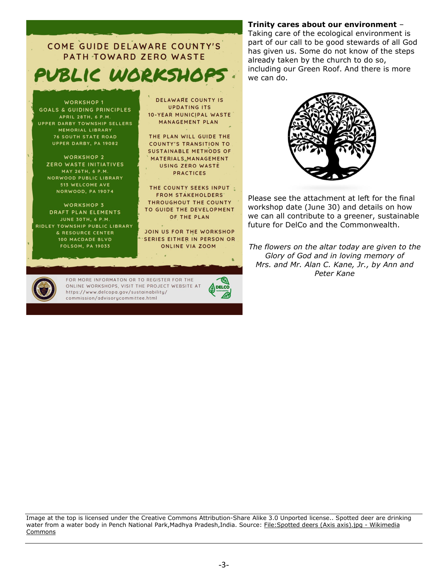COME GUIDE DELAWARE COUNTY'S PATH TOWARD ZERO WASTE PUBLIC WORKSHOP

**WORKSHOP 1 GOALS & GUIDING PRINCIPLES** APRIL 28TH, 6 P.M. UPPER DARBY TOWNSHIP SELLERS MEMORIAL LIBRARY **76 SOUTH STATE ROAD** UPPER DARBY, PA 19082

WORKSHOP 2 ZERO WASTE INITIATIVES MAY 26TH, 6 P.M. NORWOOD PUBLIC LIBRARY 513 WELCOME AVE **NORWOOD, PA 19074** 

**WORKSHOP 3** DRAFT PLAN ELEMENTS JUNE 30TH, 6 P.M. RIDLEY TOWNSHIP PUBLIC LIBRARY & RESOURCE CENTER 100 MACDADE BLVD **FOLSOM, PA 19033** 

DELAWARE COUNTY IS **UPDATING ITS** 10-YEAR MUNICIPAL WASTE MANAGEMENT PLAN

THE PLAN WILL GUIDE THE COUNTY'S TRANSITION TO **SUSTAINABLE METHODS OF** MATERIALS MANAGEMENT USING ZERO WASTE **PRACTICES** 

THE COUNTY SEEKS INPUT **FROM STAKEHOLDERS** THROUGHOUT THE COUNTY TO GUIDE THE DEVELOPMENT OF THE PLAN

JOIN US FOR THE WORKSHOP SERIES EITHER IN PERSON OR ONLINE VIA ZOOM

 $\blacksquare$ 



FOR MORE INFORMATON OR TO REGISTER FOR THE ONLINE WORKSHOPS, VISIT THE PROJECT WEBSITE AT https://www.delcopa.gov/sustainability/ commission/advisorycommittee.html

**Trinity cares about our environment** –

Taking care of the ecological environment is part of our call to be good stewards of all God has given us. Some do not know of the steps already taken by the church to do so, including our Green Roof. And there is more we can do.



Please see the attachment at left for the final workshop date (June 30) and details on how we can all contribute to a greener, sustainable future for DelCo and the Commonwealth.

*The flowers on the altar today are given to the Glory of God and in loving memory of Mrs. and Mr. Alan C. Kane, Jr., by Ann and Peter Kane*

Image at the top is licensed under the Creative Commons Attribution-Share Alike 3.0 Unported license.. Spotted deer are drinking water from a water body in Pench National Park,Madhya Pradesh,India. Source: [File:Spotted](https://commons.wikimedia.org/wiki/File:Spotted_deers_(Axis_axis).jpg) deers (Axis axis).jpg - Wikimedia [Commons](https://commons.wikimedia.org/wiki/File:Spotted_deers_(Axis_axis).jpg)